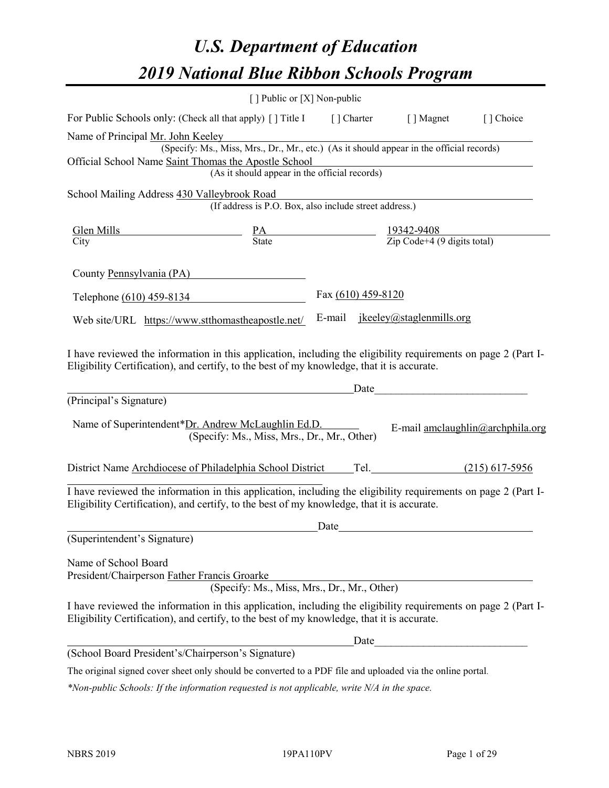# *U.S. Department of Education 2019 National Blue Ribbon Schools Program*

|                                                                                                                                                                                                              | [] Public or [X] Non-public                                                                                |                    |                                        |                                  |
|--------------------------------------------------------------------------------------------------------------------------------------------------------------------------------------------------------------|------------------------------------------------------------------------------------------------------------|--------------------|----------------------------------------|----------------------------------|
| For Public Schools only: (Check all that apply) [] Title I [] Charter [] Magnet                                                                                                                              |                                                                                                            |                    |                                        | [] Choice                        |
| Name of Principal Mr. John Keeley                                                                                                                                                                            |                                                                                                            |                    |                                        |                                  |
|                                                                                                                                                                                                              | r. John Neeley<br>(Specify: Ms., Miss, Mrs., Dr., Mr., etc.) (As it should appear in the official records) |                    |                                        |                                  |
| Official School Name Saint Thomas the Apostle School                                                                                                                                                         | mas the Apostle School<br>(As it should appear in the official records)                                    |                    |                                        |                                  |
|                                                                                                                                                                                                              |                                                                                                            |                    |                                        |                                  |
| School Mailing Address 430 Valleybrook Road                                                                                                                                                                  |                                                                                                            |                    |                                        |                                  |
|                                                                                                                                                                                                              | (If address is P.O. Box, also include street address.)                                                     |                    |                                        |                                  |
| $\frac{\text{Glen Mills}}{\text{Citv}}$ $\frac{\text{PA}}{\text{State}}$ $\frac{19342-9408}{\text{Zip Code}+4 (9 digits total)}$                                                                             |                                                                                                            |                    |                                        |                                  |
| City                                                                                                                                                                                                         |                                                                                                            |                    |                                        |                                  |
| County Pennsylvania (PA)                                                                                                                                                                                     |                                                                                                            |                    |                                        |                                  |
| Telephone (610) 459-8134                                                                                                                                                                                     |                                                                                                            | Fax (610) 459-8120 |                                        |                                  |
| Web site/URL https://www.stthomastheapostle.net/                                                                                                                                                             |                                                                                                            |                    | E-mail <u>ikeeley@staglenmills.org</u> |                                  |
| (Principal's Signature)<br>Name of Superintendent*Dr. Andrew McLaughlin Ed.D.                                                                                                                                | <u>Date</u> Date Date<br>(Specify: Ms., Miss, Mrs., Dr., Mr., Other)                                       |                    |                                        | E-mail amclaughlin@archphila.org |
| District Name Archdiocese of Philadelphia School District Tel. (215) 617-5956                                                                                                                                |                                                                                                            |                    |                                        |                                  |
| I have reviewed the information in this application, including the eligibility requirements on page 2 (Part I-<br>Eligibility Certification), and certify, to the best of my knowledge, that it is accurate. |                                                                                                            | Date               |                                        |                                  |
| (Superintendent's Signature)                                                                                                                                                                                 |                                                                                                            |                    |                                        |                                  |
| Name of School Board<br>President/Chairperson Father Francis Groarke                                                                                                                                         | (Specify: Ms., Miss, Mrs., Dr., Mr., Other)                                                                |                    |                                        |                                  |
| I have reviewed the information in this application, including the eligibility requirements on page 2 (Part I-<br>Eligibility Certification), and certify, to the best of my knowledge, that it is accurate. |                                                                                                            |                    |                                        |                                  |
|                                                                                                                                                                                                              |                                                                                                            |                    | Date                                   |                                  |
| (School Board President's/Chairperson's Signature)                                                                                                                                                           |                                                                                                            |                    |                                        |                                  |

The original signed cover sheet only should be converted to a PDF file and uploaded via the online portal.

*\*Non-public Schools: If the information requested is not applicable, write N/A in the space.*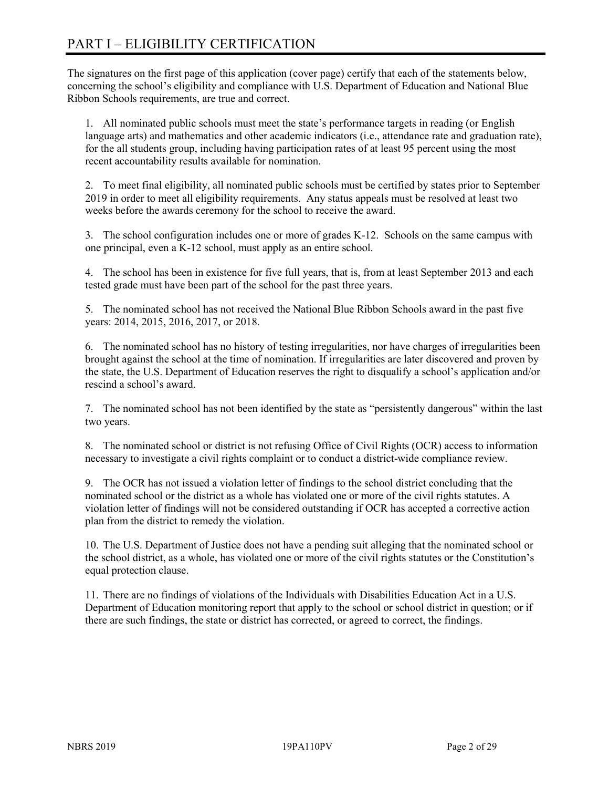# PART I – ELIGIBILITY CERTIFICATION

The signatures on the first page of this application (cover page) certify that each of the statements below, concerning the school's eligibility and compliance with U.S. Department of Education and National Blue Ribbon Schools requirements, are true and correct.

1. All nominated public schools must meet the state's performance targets in reading (or English language arts) and mathematics and other academic indicators (i.e., attendance rate and graduation rate), for the all students group, including having participation rates of at least 95 percent using the most recent accountability results available for nomination.

2. To meet final eligibility, all nominated public schools must be certified by states prior to September 2019 in order to meet all eligibility requirements. Any status appeals must be resolved at least two weeks before the awards ceremony for the school to receive the award.

3. The school configuration includes one or more of grades K-12. Schools on the same campus with one principal, even a K-12 school, must apply as an entire school.

4. The school has been in existence for five full years, that is, from at least September 2013 and each tested grade must have been part of the school for the past three years.

5. The nominated school has not received the National Blue Ribbon Schools award in the past five years: 2014, 2015, 2016, 2017, or 2018.

6. The nominated school has no history of testing irregularities, nor have charges of irregularities been brought against the school at the time of nomination. If irregularities are later discovered and proven by the state, the U.S. Department of Education reserves the right to disqualify a school's application and/or rescind a school's award.

7. The nominated school has not been identified by the state as "persistently dangerous" within the last two years.

8. The nominated school or district is not refusing Office of Civil Rights (OCR) access to information necessary to investigate a civil rights complaint or to conduct a district-wide compliance review.

9. The OCR has not issued a violation letter of findings to the school district concluding that the nominated school or the district as a whole has violated one or more of the civil rights statutes. A violation letter of findings will not be considered outstanding if OCR has accepted a corrective action plan from the district to remedy the violation.

10. The U.S. Department of Justice does not have a pending suit alleging that the nominated school or the school district, as a whole, has violated one or more of the civil rights statutes or the Constitution's equal protection clause.

11. There are no findings of violations of the Individuals with Disabilities Education Act in a U.S. Department of Education monitoring report that apply to the school or school district in question; or if there are such findings, the state or district has corrected, or agreed to correct, the findings.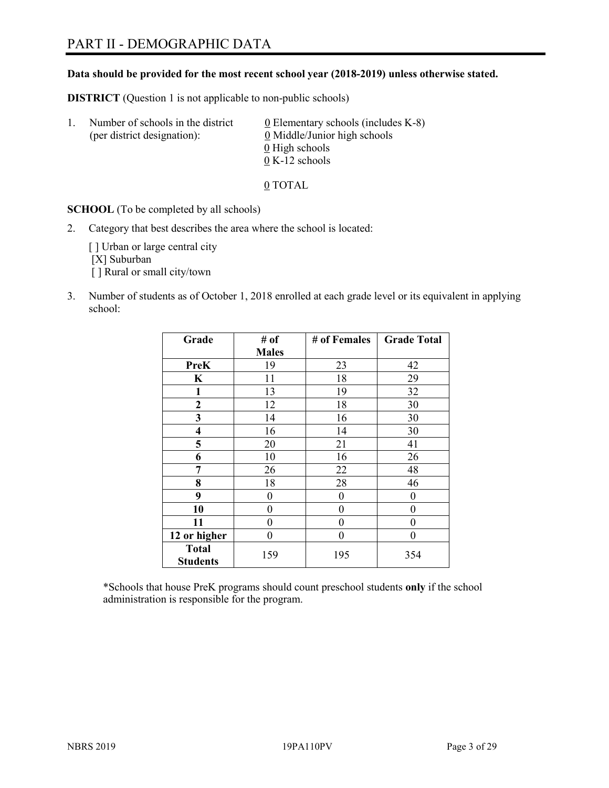# PART II - DEMOGRAPHIC DATA

#### **Data should be provided for the most recent school year (2018-2019) unless otherwise stated.**

**DISTRICT** (Question 1 is not applicable to non-public schools)

| -1. | Number of schools in the district<br>(per district designation): | $\underline{0}$ Elementary schools (includes K-8)<br>0 Middle/Junior high schools |
|-----|------------------------------------------------------------------|-----------------------------------------------------------------------------------|
|     |                                                                  | 0 High schools                                                                    |
|     |                                                                  | $0 K-12$ schools                                                                  |

0 TOTAL

**SCHOOL** (To be completed by all schools)

2. Category that best describes the area where the school is located:

[] Urban or large central city [X] Suburban [] Rural or small city/town

3. Number of students as of October 1, 2018 enrolled at each grade level or its equivalent in applying school:

| Grade                           | # of         | # of Females | <b>Grade Total</b> |
|---------------------------------|--------------|--------------|--------------------|
|                                 | <b>Males</b> |              |                    |
| <b>PreK</b>                     | 19           | 23           | 42                 |
| K                               | 11           | 18           | 29                 |
| $\mathbf{1}$                    | 13           | 19           | 32                 |
| $\mathbf{2}$                    | 12           | 18           | 30                 |
| 3                               | 14           | 16           | 30                 |
| $\overline{\mathbf{4}}$         | 16           | 14           | 30                 |
| 5                               | 20           | 21           | 41                 |
| 6                               | 10           | 16           | 26                 |
| 7                               | 26           | 22           | 48                 |
| 8                               | 18           | 28           | 46                 |
| 9                               | 0            | 0            | 0                  |
| 10                              | 0            | 0            | 0                  |
| 11                              | 0            | 0            | 0                  |
| 12 or higher                    | 0            | 0            | 0                  |
| <b>Total</b><br><b>Students</b> | 159          | 195          | 354                |

\*Schools that house PreK programs should count preschool students **only** if the school administration is responsible for the program.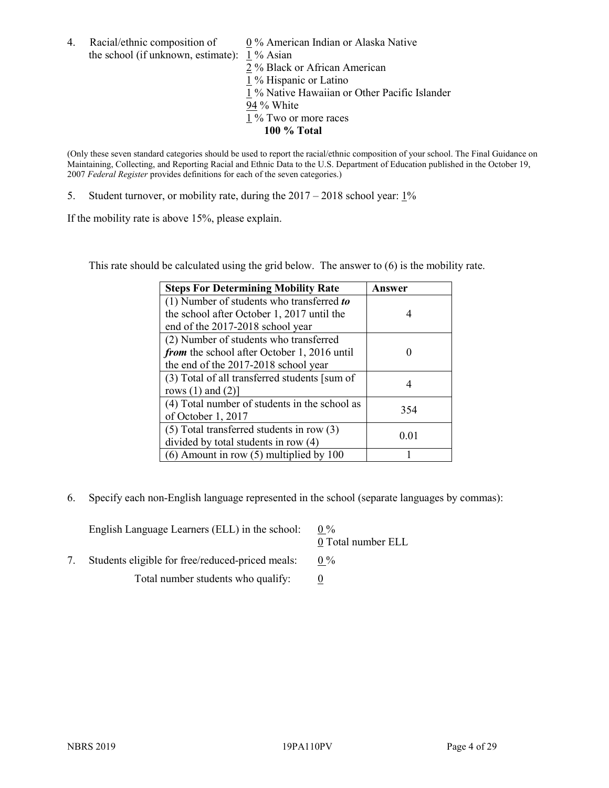4. Racial/ethnic composition of  $0\%$  American Indian or Alaska Native the school (if unknown, estimate): 1 % Asian

2 % Black or African American 1 % Hispanic or Latino 1 % Native Hawaiian or Other Pacific Islander 94 % White  $1\%$  Two or more races **100 % Total**

(Only these seven standard categories should be used to report the racial/ethnic composition of your school. The Final Guidance on Maintaining, Collecting, and Reporting Racial and Ethnic Data to the U.S. Department of Education published in the October 19, 2007 *Federal Register* provides definitions for each of the seven categories.)

5. Student turnover, or mobility rate, during the 2017 – 2018 school year: 1%

If the mobility rate is above 15%, please explain.

This rate should be calculated using the grid below. The answer to (6) is the mobility rate.

| <b>Steps For Determining Mobility Rate</b>    | Answer |
|-----------------------------------------------|--------|
| (1) Number of students who transferred to     |        |
| the school after October 1, 2017 until the    |        |
| end of the 2017-2018 school year              |        |
| (2) Number of students who transferred        |        |
| from the school after October 1, 2016 until   |        |
| the end of the 2017-2018 school year          |        |
| (3) Total of all transferred students [sum of |        |
| rows $(1)$ and $(2)$ ]                        |        |
| (4) Total number of students in the school as | 354    |
| of October 1, 2017                            |        |
| $(5)$ Total transferred students in row $(3)$ |        |
| divided by total students in row (4)          | 0.01   |
| $(6)$ Amount in row $(5)$ multiplied by 100   |        |

6. Specify each non-English language represented in the school (separate languages by commas):

| English Language Learners (ELL) in the school:   | $0\%$<br>0 Total number ELL |
|--------------------------------------------------|-----------------------------|
| Students eligible for free/reduced-priced meals: | $0\%$                       |
| Total number students who qualify:               |                             |
|                                                  |                             |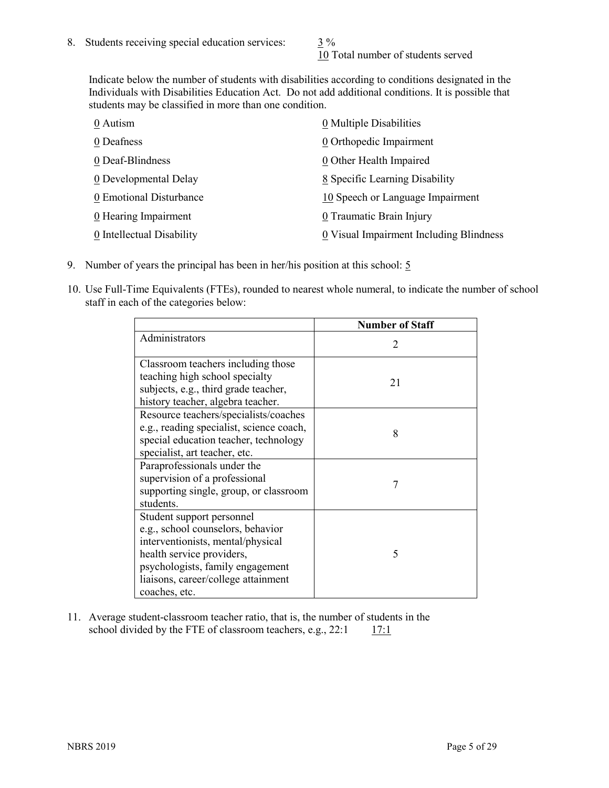10 Total number of students served

Indicate below the number of students with disabilities according to conditions designated in the Individuals with Disabilities Education Act. Do not add additional conditions. It is possible that students may be classified in more than one condition.

| 0 Autism                  | 0 Multiple Disabilities                 |
|---------------------------|-----------------------------------------|
| 0 Deafness                | 0 Orthopedic Impairment                 |
| 0 Deaf-Blindness          | 0 Other Health Impaired                 |
| 0 Developmental Delay     | 8 Specific Learning Disability          |
| 0 Emotional Disturbance   | 10 Speech or Language Impairment        |
| 0 Hearing Impairment      | 0 Traumatic Brain Injury                |
| 0 Intellectual Disability | 0 Visual Impairment Including Blindness |

- 9. Number of years the principal has been in her/his position at this school:  $\frac{5}{9}$
- 10. Use Full-Time Equivalents (FTEs), rounded to nearest whole numeral, to indicate the number of school staff in each of the categories below:

|                                                                                                                                                                                                                              | <b>Number of Staff</b>      |
|------------------------------------------------------------------------------------------------------------------------------------------------------------------------------------------------------------------------------|-----------------------------|
| Administrators                                                                                                                                                                                                               | $\mathcal{D}_{\mathcal{A}}$ |
| Classroom teachers including those<br>teaching high school specialty<br>subjects, e.g., third grade teacher,<br>history teacher, algebra teacher.                                                                            | 21                          |
| Resource teachers/specialists/coaches<br>e.g., reading specialist, science coach,<br>special education teacher, technology<br>specialist, art teacher, etc.                                                                  | 8                           |
| Paraprofessionals under the<br>supervision of a professional<br>supporting single, group, or classroom<br>students.                                                                                                          | 7                           |
| Student support personnel<br>e.g., school counselors, behavior<br>interventionists, mental/physical<br>health service providers,<br>psychologists, family engagement<br>liaisons, career/college attainment<br>coaches, etc. | $\overline{\mathcal{L}}$    |

11. Average student-classroom teacher ratio, that is, the number of students in the school divided by the FTE of classroom teachers, e.g.,  $22:1$  17:1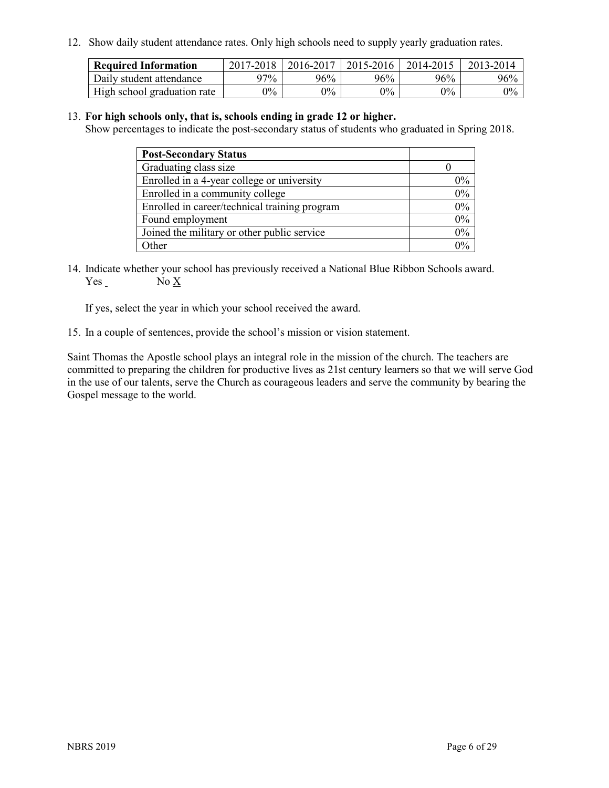12. Show daily student attendance rates. Only high schools need to supply yearly graduation rates.

| <b>Required Information</b> | $2017 - 2018$ | 2016-2017 | 2015-2016 | 2014-2015 | 2013-2014 |
|-----------------------------|---------------|-----------|-----------|-----------|-----------|
| Daily student attendance    | $97\%$        | 96%       | 96%       | 96%       | 96%       |
| High school graduation rate | $0\%$         | $0\%$     | $0\%$     | 9%        | $0\%$     |

#### 13. **For high schools only, that is, schools ending in grade 12 or higher.**

Show percentages to indicate the post-secondary status of students who graduated in Spring 2018.

| <b>Post-Secondary Status</b>                  |           |
|-----------------------------------------------|-----------|
| Graduating class size                         |           |
| Enrolled in a 4-year college or university    | $0\%$     |
| Enrolled in a community college               | 0%        |
| Enrolled in career/technical training program | $0\%$     |
| Found employment                              | 0%        |
| Joined the military or other public service   | 0%        |
| Other                                         | በዓ $\sim$ |

14. Indicate whether your school has previously received a National Blue Ribbon Schools award. Yes No X

If yes, select the year in which your school received the award.

15. In a couple of sentences, provide the school's mission or vision statement.

Saint Thomas the Apostle school plays an integral role in the mission of the church. The teachers are committed to preparing the children for productive lives as 21st century learners so that we will serve God in the use of our talents, serve the Church as courageous leaders and serve the community by bearing the Gospel message to the world.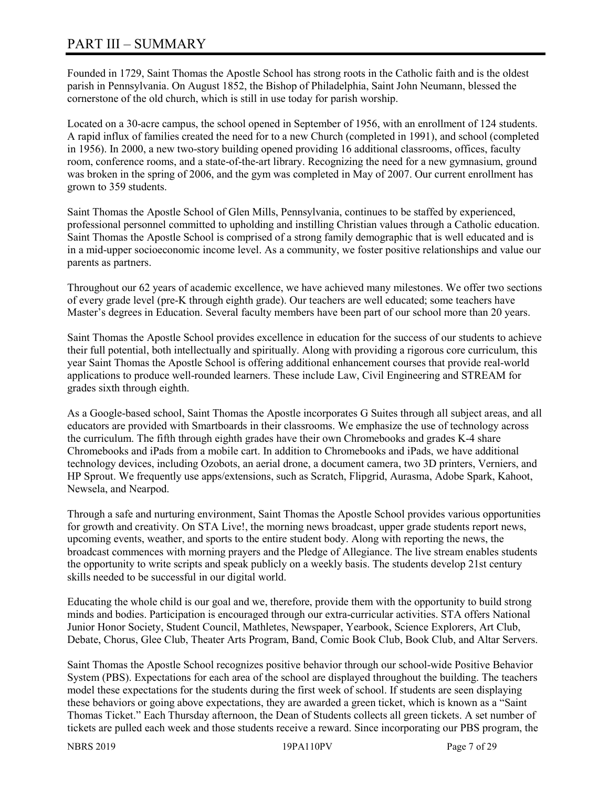# PART III – SUMMARY

Founded in 1729, Saint Thomas the Apostle School has strong roots in the Catholic faith and is the oldest parish in Pennsylvania. On August 1852, the Bishop of Philadelphia, Saint John Neumann, blessed the cornerstone of the old church, which is still in use today for parish worship.

Located on a 30-acre campus, the school opened in September of 1956, with an enrollment of 124 students. A rapid influx of families created the need for to a new Church (completed in 1991), and school (completed in 1956). In 2000, a new two-story building opened providing 16 additional classrooms, offices, faculty room, conference rooms, and a state-of-the-art library. Recognizing the need for a new gymnasium, ground was broken in the spring of 2006, and the gym was completed in May of 2007. Our current enrollment has grown to 359 students.

Saint Thomas the Apostle School of Glen Mills, Pennsylvania, continues to be staffed by experienced, professional personnel committed to upholding and instilling Christian values through a Catholic education. Saint Thomas the Apostle School is comprised of a strong family demographic that is well educated and is in a mid-upper socioeconomic income level. As a community, we foster positive relationships and value our parents as partners.

Throughout our 62 years of academic excellence, we have achieved many milestones. We offer two sections of every grade level (pre-K through eighth grade). Our teachers are well educated; some teachers have Master's degrees in Education. Several faculty members have been part of our school more than 20 years.

Saint Thomas the Apostle School provides excellence in education for the success of our students to achieve their full potential, both intellectually and spiritually. Along with providing a rigorous core curriculum, this year Saint Thomas the Apostle School is offering additional enhancement courses that provide real-world applications to produce well-rounded learners. These include Law, Civil Engineering and STREAM for grades sixth through eighth.

As a Google-based school, Saint Thomas the Apostle incorporates G Suites through all subject areas, and all educators are provided with Smartboards in their classrooms. We emphasize the use of technology across the curriculum. The fifth through eighth grades have their own Chromebooks and grades K-4 share Chromebooks and iPads from a mobile cart. In addition to Chromebooks and iPads, we have additional technology devices, including Ozobots, an aerial drone, a document camera, two 3D printers, Verniers, and HP Sprout. We frequently use apps/extensions, such as Scratch, Flipgrid, Aurasma, Adobe Spark, Kahoot, Newsela, and Nearpod.

Through a safe and nurturing environment, Saint Thomas the Apostle School provides various opportunities for growth and creativity. On STA Live!, the morning news broadcast, upper grade students report news, upcoming events, weather, and sports to the entire student body. Along with reporting the news, the broadcast commences with morning prayers and the Pledge of Allegiance. The live stream enables students the opportunity to write scripts and speak publicly on a weekly basis. The students develop 21st century skills needed to be successful in our digital world.

Educating the whole child is our goal and we, therefore, provide them with the opportunity to build strong minds and bodies. Participation is encouraged through our extra-curricular activities. STA offers National Junior Honor Society, Student Council, Mathletes, Newspaper, Yearbook, Science Explorers, Art Club, Debate, Chorus, Glee Club, Theater Arts Program, Band, Comic Book Club, Book Club, and Altar Servers.

Saint Thomas the Apostle School recognizes positive behavior through our school-wide Positive Behavior System (PBS). Expectations for each area of the school are displayed throughout the building. The teachers model these expectations for the students during the first week of school. If students are seen displaying these behaviors or going above expectations, they are awarded a green ticket, which is known as a "Saint Thomas Ticket." Each Thursday afternoon, the Dean of Students collects all green tickets. A set number of tickets are pulled each week and those students receive a reward. Since incorporating our PBS program, the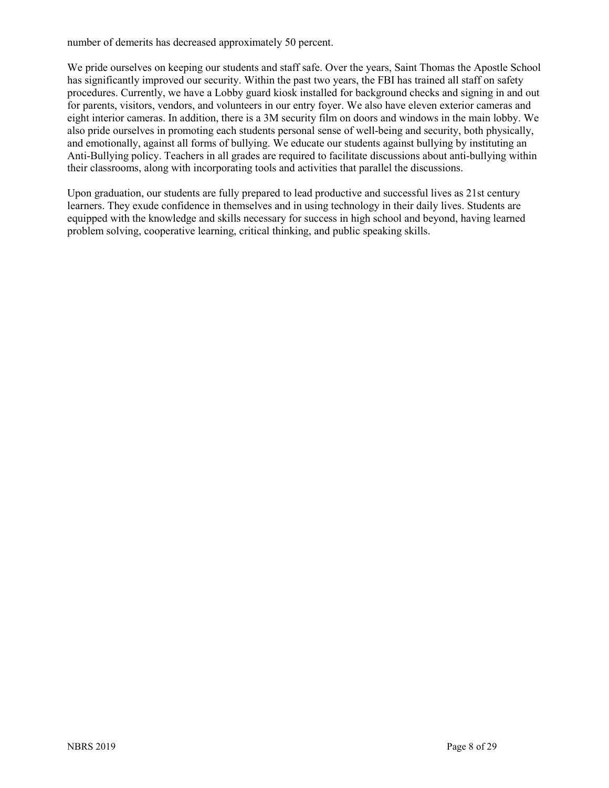number of demerits has decreased approximately 50 percent.

We pride ourselves on keeping our students and staff safe. Over the years, Saint Thomas the Apostle School has significantly improved our security. Within the past two years, the FBI has trained all staff on safety procedures. Currently, we have a Lobby guard kiosk installed for background checks and signing in and out for parents, visitors, vendors, and volunteers in our entry foyer. We also have eleven exterior cameras and eight interior cameras. In addition, there is a 3M security film on doors and windows in the main lobby. We also pride ourselves in promoting each students personal sense of well-being and security, both physically, and emotionally, against all forms of bullying. We educate our students against bullying by instituting an Anti-Bullying policy. Teachers in all grades are required to facilitate discussions about anti-bullying within their classrooms, along with incorporating tools and activities that parallel the discussions.

Upon graduation, our students are fully prepared to lead productive and successful lives as 21st century learners. They exude confidence in themselves and in using technology in their daily lives. Students are equipped with the knowledge and skills necessary for success in high school and beyond, having learned problem solving, cooperative learning, critical thinking, and public speaking skills.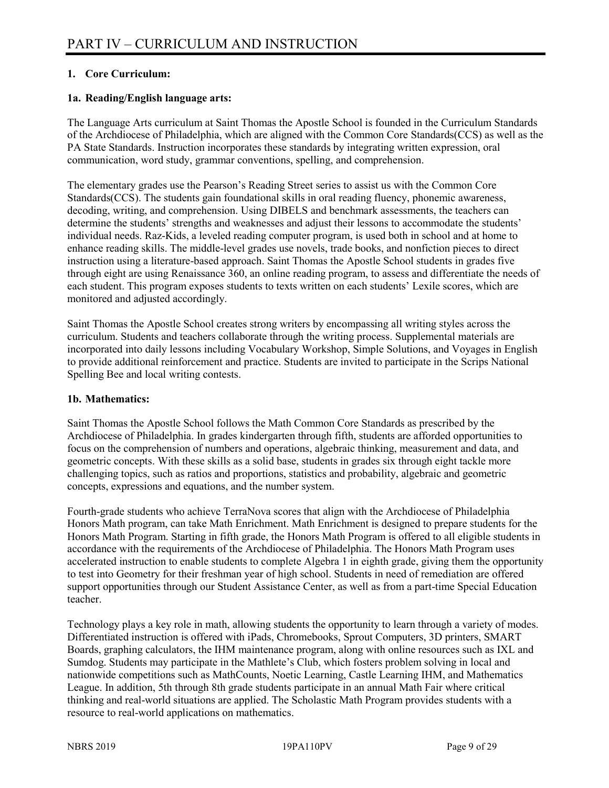#### **1. Core Curriculum:**

#### **1a. Reading/English language arts:**

The Language Arts curriculum at Saint Thomas the Apostle School is founded in the Curriculum Standards of the Archdiocese of Philadelphia, which are aligned with the Common Core Standards(CCS) as well as the PA State Standards. Instruction incorporates these standards by integrating written expression, oral communication, word study, grammar conventions, spelling, and comprehension.

The elementary grades use the Pearson's Reading Street series to assist us with the Common Core Standards(CCS). The students gain foundational skills in oral reading fluency, phonemic awareness, decoding, writing, and comprehension. Using DIBELS and benchmark assessments, the teachers can determine the students' strengths and weaknesses and adjust their lessons to accommodate the students' individual needs. Raz-Kids, a leveled reading computer program, is used both in school and at home to enhance reading skills. The middle-level grades use novels, trade books, and nonfiction pieces to direct instruction using a literature-based approach. Saint Thomas the Apostle School students in grades five through eight are using Renaissance 360, an online reading program, to assess and differentiate the needs of each student. This program exposes students to texts written on each students' Lexile scores, which are monitored and adjusted accordingly.

Saint Thomas the Apostle School creates strong writers by encompassing all writing styles across the curriculum. Students and teachers collaborate through the writing process. Supplemental materials are incorporated into daily lessons including Vocabulary Workshop, Simple Solutions, and Voyages in English to provide additional reinforcement and practice. Students are invited to participate in the Scrips National Spelling Bee and local writing contests.

#### **1b. Mathematics:**

Saint Thomas the Apostle School follows the Math Common Core Standards as prescribed by the Archdiocese of Philadelphia. In grades kindergarten through fifth, students are afforded opportunities to focus on the comprehension of numbers and operations, algebraic thinking, measurement and data, and geometric concepts. With these skills as a solid base, students in grades six through eight tackle more challenging topics, such as ratios and proportions, statistics and probability, algebraic and geometric concepts, expressions and equations, and the number system.

Fourth-grade students who achieve TerraNova scores that align with the Archdiocese of Philadelphia Honors Math program, can take Math Enrichment. Math Enrichment is designed to prepare students for the Honors Math Program. Starting in fifth grade, the Honors Math Program is offered to all eligible students in accordance with the requirements of the Archdiocese of Philadelphia. The Honors Math Program uses accelerated instruction to enable students to complete Algebra 1 in eighth grade, giving them the opportunity to test into Geometry for their freshman year of high school. Students in need of remediation are offered support opportunities through our Student Assistance Center, as well as from a part-time Special Education teacher.

Technology plays a key role in math, allowing students the opportunity to learn through a variety of modes. Differentiated instruction is offered with iPads, Chromebooks, Sprout Computers, 3D printers, SMART Boards, graphing calculators, the IHM maintenance program, along with online resources such as IXL and Sumdog. Students may participate in the Mathlete's Club, which fosters problem solving in local and nationwide competitions such as MathCounts, Noetic Learning, Castle Learning IHM, and Mathematics League. In addition, 5th through 8th grade students participate in an annual Math Fair where critical thinking and real-world situations are applied. The Scholastic Math Program provides students with a resource to real-world applications on mathematics.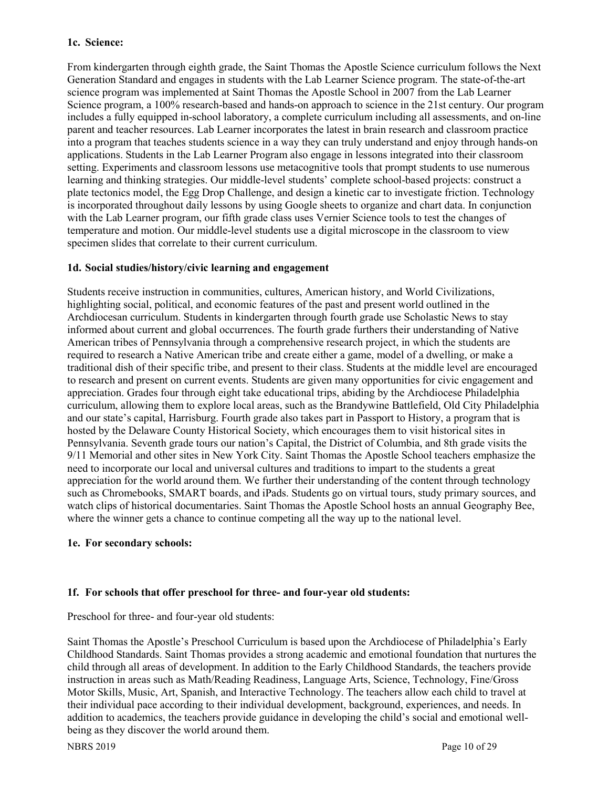#### **1c. Science:**

From kindergarten through eighth grade, the Saint Thomas the Apostle Science curriculum follows the Next Generation Standard and engages in students with the Lab Learner Science program. The state-of-the-art science program was implemented at Saint Thomas the Apostle School in 2007 from the Lab Learner Science program, a 100% research-based and hands-on approach to science in the 21st century. Our program includes a fully equipped in-school laboratory, a complete curriculum including all assessments, and on-line parent and teacher resources. Lab Learner incorporates the latest in brain research and classroom practice into a program that teaches students science in a way they can truly understand and enjoy through hands-on applications. Students in the Lab Learner Program also engage in lessons integrated into their classroom setting. Experiments and classroom lessons use metacognitive tools that prompt students to use numerous learning and thinking strategies. Our middle-level students' complete school-based projects: construct a plate tectonics model, the Egg Drop Challenge, and design a kinetic car to investigate friction. Technology is incorporated throughout daily lessons by using Google sheets to organize and chart data. In conjunction with the Lab Learner program, our fifth grade class uses Vernier Science tools to test the changes of temperature and motion. Our middle-level students use a digital microscope in the classroom to view specimen slides that correlate to their current curriculum.

#### **1d. Social studies/history/civic learning and engagement**

Students receive instruction in communities, cultures, American history, and World Civilizations, highlighting social, political, and economic features of the past and present world outlined in the Archdiocesan curriculum. Students in kindergarten through fourth grade use Scholastic News to stay informed about current and global occurrences. The fourth grade furthers their understanding of Native American tribes of Pennsylvania through a comprehensive research project, in which the students are required to research a Native American tribe and create either a game, model of a dwelling, or make a traditional dish of their specific tribe, and present to their class. Students at the middle level are encouraged to research and present on current events. Students are given many opportunities for civic engagement and appreciation. Grades four through eight take educational trips, abiding by the Archdiocese Philadelphia curriculum, allowing them to explore local areas, such as the Brandywine Battlefield, Old City Philadelphia and our state's capital, Harrisburg. Fourth grade also takes part in Passport to History, a program that is hosted by the Delaware County Historical Society, which encourages them to visit historical sites in Pennsylvania. Seventh grade tours our nation's Capital, the District of Columbia, and 8th grade visits the 9/11 Memorial and other sites in New York City. Saint Thomas the Apostle School teachers emphasize the need to incorporate our local and universal cultures and traditions to impart to the students a great appreciation for the world around them. We further their understanding of the content through technology such as Chromebooks, SMART boards, and iPads. Students go on virtual tours, study primary sources, and watch clips of historical documentaries. Saint Thomas the Apostle School hosts an annual Geography Bee, where the winner gets a chance to continue competing all the way up to the national level.

#### **1e. For secondary schools:**

#### **1f. For schools that offer preschool for three- and four-year old students:**

Preschool for three- and four-year old students:

Saint Thomas the Apostle's Preschool Curriculum is based upon the Archdiocese of Philadelphia's Early Childhood Standards. Saint Thomas provides a strong academic and emotional foundation that nurtures the child through all areas of development. In addition to the Early Childhood Standards, the teachers provide instruction in areas such as Math/Reading Readiness, Language Arts, Science, Technology, Fine/Gross Motor Skills, Music, Art, Spanish, and Interactive Technology. The teachers allow each child to travel at their individual pace according to their individual development, background, experiences, and needs. In addition to academics, the teachers provide guidance in developing the child's social and emotional wellbeing as they discover the world around them.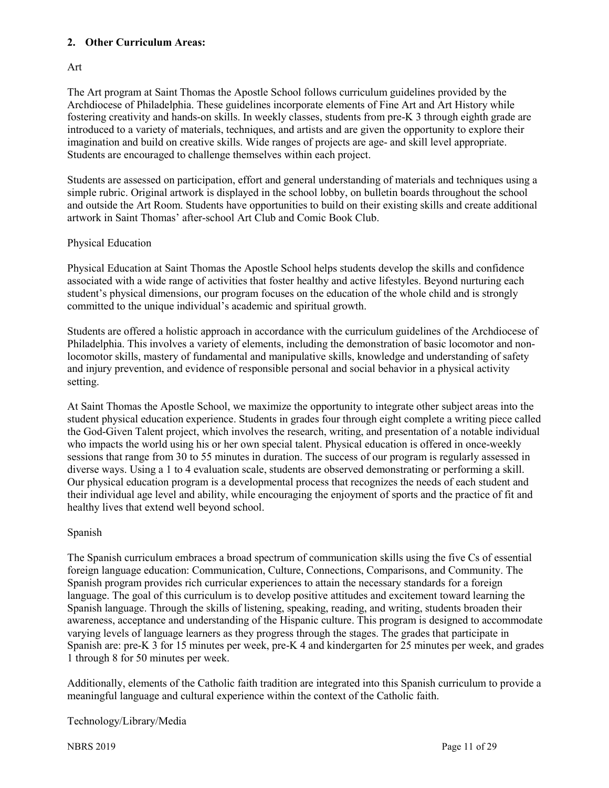#### **2. Other Curriculum Areas:**

#### Art

The Art program at Saint Thomas the Apostle School follows curriculum guidelines provided by the Archdiocese of Philadelphia. These guidelines incorporate elements of Fine Art and Art History while fostering creativity and hands-on skills. In weekly classes, students from pre-K 3 through eighth grade are introduced to a variety of materials, techniques, and artists and are given the opportunity to explore their imagination and build on creative skills. Wide ranges of projects are age- and skill level appropriate. Students are encouraged to challenge themselves within each project.

Students are assessed on participation, effort and general understanding of materials and techniques using a simple rubric. Original artwork is displayed in the school lobby, on bulletin boards throughout the school and outside the Art Room. Students have opportunities to build on their existing skills and create additional artwork in Saint Thomas' after-school Art Club and Comic Book Club.

#### Physical Education

Physical Education at Saint Thomas the Apostle School helps students develop the skills and confidence associated with a wide range of activities that foster healthy and active lifestyles. Beyond nurturing each student's physical dimensions, our program focuses on the education of the whole child and is strongly committed to the unique individual's academic and spiritual growth.

Students are offered a holistic approach in accordance with the curriculum guidelines of the Archdiocese of Philadelphia. This involves a variety of elements, including the demonstration of basic locomotor and nonlocomotor skills, mastery of fundamental and manipulative skills, knowledge and understanding of safety and injury prevention, and evidence of responsible personal and social behavior in a physical activity setting.

At Saint Thomas the Apostle School, we maximize the opportunity to integrate other subject areas into the student physical education experience. Students in grades four through eight complete a writing piece called the God-Given Talent project, which involves the research, writing, and presentation of a notable individual who impacts the world using his or her own special talent. Physical education is offered in once-weekly sessions that range from 30 to 55 minutes in duration. The success of our program is regularly assessed in diverse ways. Using a 1 to 4 evaluation scale, students are observed demonstrating or performing a skill. Our physical education program is a developmental process that recognizes the needs of each student and their individual age level and ability, while encouraging the enjoyment of sports and the practice of fit and healthy lives that extend well beyond school.

#### Spanish

The Spanish curriculum embraces a broad spectrum of communication skills using the five Cs of essential foreign language education: Communication, Culture, Connections, Comparisons, and Community. The Spanish program provides rich curricular experiences to attain the necessary standards for a foreign language. The goal of this curriculum is to develop positive attitudes and excitement toward learning the Spanish language. Through the skills of listening, speaking, reading, and writing, students broaden their awareness, acceptance and understanding of the Hispanic culture. This program is designed to accommodate varying levels of language learners as they progress through the stages. The grades that participate in Spanish are: pre-K 3 for 15 minutes per week, pre-K 4 and kindergarten for 25 minutes per week, and grades 1 through 8 for 50 minutes per week.

Additionally, elements of the Catholic faith tradition are integrated into this Spanish curriculum to provide a meaningful language and cultural experience within the context of the Catholic faith.

#### Technology/Library/Media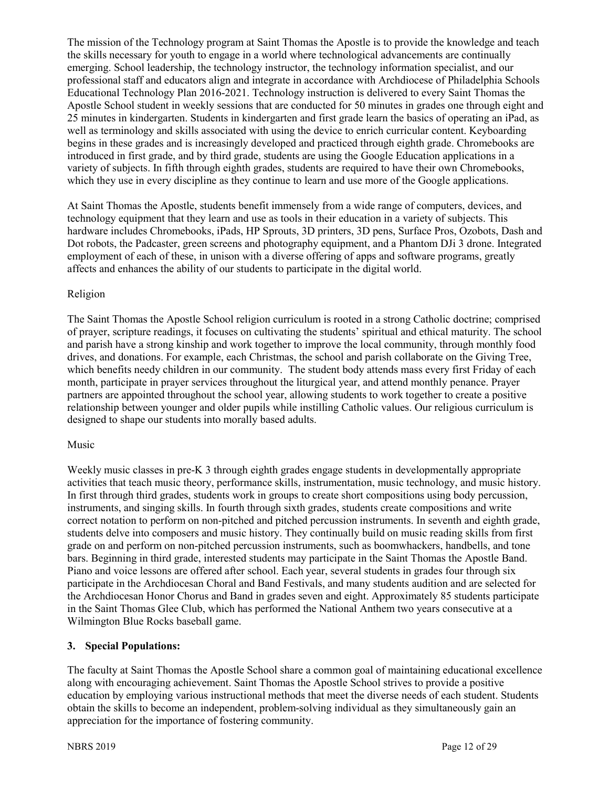The mission of the Technology program at Saint Thomas the Apostle is to provide the knowledge and teach the skills necessary for youth to engage in a world where technological advancements are continually emerging. School leadership, the technology instructor, the technology information specialist, and our professional staff and educators align and integrate in accordance with Archdiocese of Philadelphia Schools Educational Technology Plan 2016-2021. Technology instruction is delivered to every Saint Thomas the Apostle School student in weekly sessions that are conducted for 50 minutes in grades one through eight and 25 minutes in kindergarten. Students in kindergarten and first grade learn the basics of operating an iPad, as well as terminology and skills associated with using the device to enrich curricular content. Keyboarding begins in these grades and is increasingly developed and practiced through eighth grade. Chromebooks are introduced in first grade, and by third grade, students are using the Google Education applications in a variety of subjects. In fifth through eighth grades, students are required to have their own Chromebooks, which they use in every discipline as they continue to learn and use more of the Google applications.

At Saint Thomas the Apostle, students benefit immensely from a wide range of computers, devices, and technology equipment that they learn and use as tools in their education in a variety of subjects. This hardware includes Chromebooks, iPads, HP Sprouts, 3D printers, 3D pens, Surface Pros, Ozobots, Dash and Dot robots, the Padcaster, green screens and photography equipment, and a Phantom DJi 3 drone. Integrated employment of each of these, in unison with a diverse offering of apps and software programs, greatly affects and enhances the ability of our students to participate in the digital world.

#### Religion

The Saint Thomas the Apostle School religion curriculum is rooted in a strong Catholic doctrine; comprised of prayer, scripture readings, it focuses on cultivating the students' spiritual and ethical maturity. The school and parish have a strong kinship and work together to improve the local community, through monthly food drives, and donations. For example, each Christmas, the school and parish collaborate on the Giving Tree, which benefits needy children in our community. The student body attends mass every first Friday of each month, participate in prayer services throughout the liturgical year, and attend monthly penance. Prayer partners are appointed throughout the school year, allowing students to work together to create a positive relationship between younger and older pupils while instilling Catholic values. Our religious curriculum is designed to shape our students into morally based adults.

#### Music

Weekly music classes in pre-K 3 through eighth grades engage students in developmentally appropriate activities that teach music theory, performance skills, instrumentation, music technology, and music history. In first through third grades, students work in groups to create short compositions using body percussion, instruments, and singing skills. In fourth through sixth grades, students create compositions and write correct notation to perform on non-pitched and pitched percussion instruments. In seventh and eighth grade, students delve into composers and music history. They continually build on music reading skills from first grade on and perform on non-pitched percussion instruments, such as boomwhackers, handbells, and tone bars. Beginning in third grade, interested students may participate in the Saint Thomas the Apostle Band. Piano and voice lessons are offered after school. Each year, several students in grades four through six participate in the Archdiocesan Choral and Band Festivals, and many students audition and are selected for the Archdiocesan Honor Chorus and Band in grades seven and eight. Approximately 85 students participate in the Saint Thomas Glee Club, which has performed the National Anthem two years consecutive at a Wilmington Blue Rocks baseball game.

#### **3. Special Populations:**

The faculty at Saint Thomas the Apostle School share a common goal of maintaining educational excellence along with encouraging achievement. Saint Thomas the Apostle School strives to provide a positive education by employing various instructional methods that meet the diverse needs of each student. Students obtain the skills to become an independent, problem-solving individual as they simultaneously gain an appreciation for the importance of fostering community.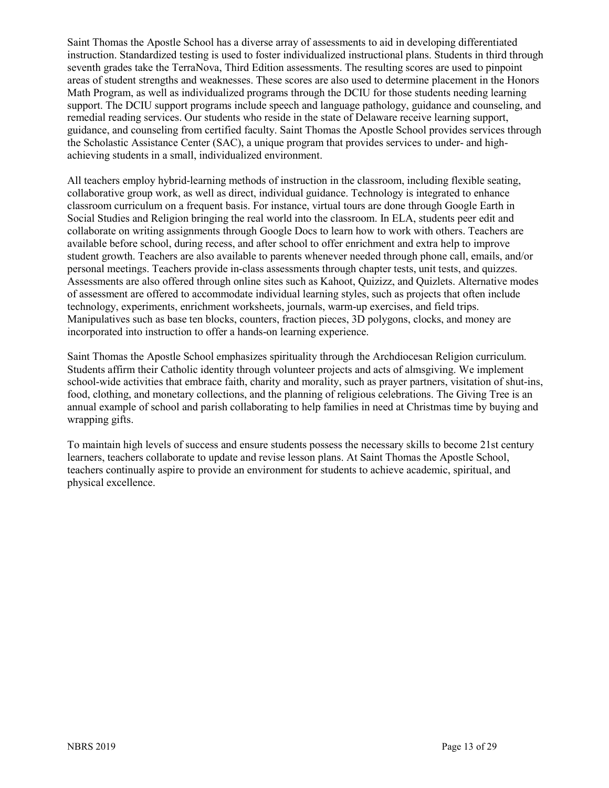Saint Thomas the Apostle School has a diverse array of assessments to aid in developing differentiated instruction. Standardized testing is used to foster individualized instructional plans. Students in third through seventh grades take the TerraNova, Third Edition assessments. The resulting scores are used to pinpoint areas of student strengths and weaknesses. These scores are also used to determine placement in the Honors Math Program, as well as individualized programs through the DCIU for those students needing learning support. The DCIU support programs include speech and language pathology, guidance and counseling, and remedial reading services. Our students who reside in the state of Delaware receive learning support, guidance, and counseling from certified faculty. Saint Thomas the Apostle School provides services through the Scholastic Assistance Center (SAC), a unique program that provides services to under- and highachieving students in a small, individualized environment.

All teachers employ hybrid-learning methods of instruction in the classroom, including flexible seating, collaborative group work, as well as direct, individual guidance. Technology is integrated to enhance classroom curriculum on a frequent basis. For instance, virtual tours are done through Google Earth in Social Studies and Religion bringing the real world into the classroom. In ELA, students peer edit and collaborate on writing assignments through Google Docs to learn how to work with others. Teachers are available before school, during recess, and after school to offer enrichment and extra help to improve student growth. Teachers are also available to parents whenever needed through phone call, emails, and/or personal meetings. Teachers provide in-class assessments through chapter tests, unit tests, and quizzes. Assessments are also offered through online sites such as Kahoot, Quizizz, and Quizlets. Alternative modes of assessment are offered to accommodate individual learning styles, such as projects that often include technology, experiments, enrichment worksheets, journals, warm-up exercises, and field trips. Manipulatives such as base ten blocks, counters, fraction pieces, 3D polygons, clocks, and money are incorporated into instruction to offer a hands-on learning experience.

Saint Thomas the Apostle School emphasizes spirituality through the Archdiocesan Religion curriculum. Students affirm their Catholic identity through volunteer projects and acts of almsgiving. We implement school-wide activities that embrace faith, charity and morality, such as prayer partners, visitation of shut-ins, food, clothing, and monetary collections, and the planning of religious celebrations. The Giving Tree is an annual example of school and parish collaborating to help families in need at Christmas time by buying and wrapping gifts.

To maintain high levels of success and ensure students possess the necessary skills to become 21st century learners, teachers collaborate to update and revise lesson plans. At Saint Thomas the Apostle School, teachers continually aspire to provide an environment for students to achieve academic, spiritual, and physical excellence.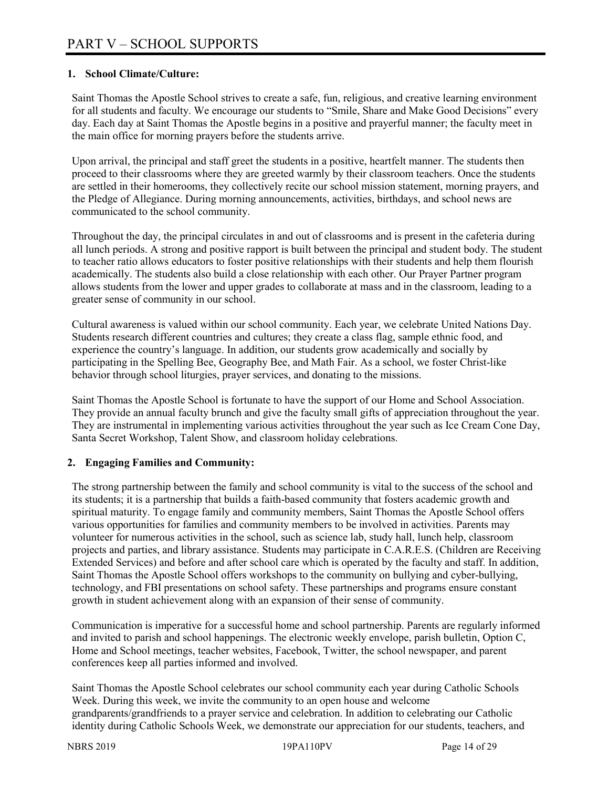#### **1. School Climate/Culture:**

Saint Thomas the Apostle School strives to create a safe, fun, religious, and creative learning environment for all students and faculty. We encourage our students to "Smile, Share and Make Good Decisions" every day. Each day at Saint Thomas the Apostle begins in a positive and prayerful manner; the faculty meet in the main office for morning prayers before the students arrive.

Upon arrival, the principal and staff greet the students in a positive, heartfelt manner. The students then proceed to their classrooms where they are greeted warmly by their classroom teachers. Once the students are settled in their homerooms, they collectively recite our school mission statement, morning prayers, and the Pledge of Allegiance. During morning announcements, activities, birthdays, and school news are communicated to the school community.

Throughout the day, the principal circulates in and out of classrooms and is present in the cafeteria during all lunch periods. A strong and positive rapport is built between the principal and student body. The student to teacher ratio allows educators to foster positive relationships with their students and help them flourish academically. The students also build a close relationship with each other. Our Prayer Partner program allows students from the lower and upper grades to collaborate at mass and in the classroom, leading to a greater sense of community in our school.

Cultural awareness is valued within our school community. Each year, we celebrate United Nations Day. Students research different countries and cultures; they create a class flag, sample ethnic food, and experience the country's language. In addition, our students grow academically and socially by participating in the Spelling Bee, Geography Bee, and Math Fair. As a school, we foster Christ-like behavior through school liturgies, prayer services, and donating to the missions.

Saint Thomas the Apostle School is fortunate to have the support of our Home and School Association. They provide an annual faculty brunch and give the faculty small gifts of appreciation throughout the year. They are instrumental in implementing various activities throughout the year such as Ice Cream Cone Day, Santa Secret Workshop, Talent Show, and classroom holiday celebrations.

#### **2. Engaging Families and Community:**

The strong partnership between the family and school community is vital to the success of the school and its students; it is a partnership that builds a faith-based community that fosters academic growth and spiritual maturity. To engage family and community members, Saint Thomas the Apostle School offers various opportunities for families and community members to be involved in activities. Parents may volunteer for numerous activities in the school, such as science lab, study hall, lunch help, classroom projects and parties, and library assistance. Students may participate in C.A.R.E.S. (Children are Receiving Extended Services) and before and after school care which is operated by the faculty and staff. In addition, Saint Thomas the Apostle School offers workshops to the community on bullying and cyber-bullying, technology, and FBI presentations on school safety. These partnerships and programs ensure constant growth in student achievement along with an expansion of their sense of community.

Communication is imperative for a successful home and school partnership. Parents are regularly informed and invited to parish and school happenings. The electronic weekly envelope, parish bulletin, Option C, Home and School meetings, teacher websites, Facebook, Twitter, the school newspaper, and parent conferences keep all parties informed and involved.

Saint Thomas the Apostle School celebrates our school community each year during Catholic Schools Week. During this week, we invite the community to an open house and welcome grandparents/grandfriends to a prayer service and celebration. In addition to celebrating our Catholic identity during Catholic Schools Week, we demonstrate our appreciation for our students, teachers, and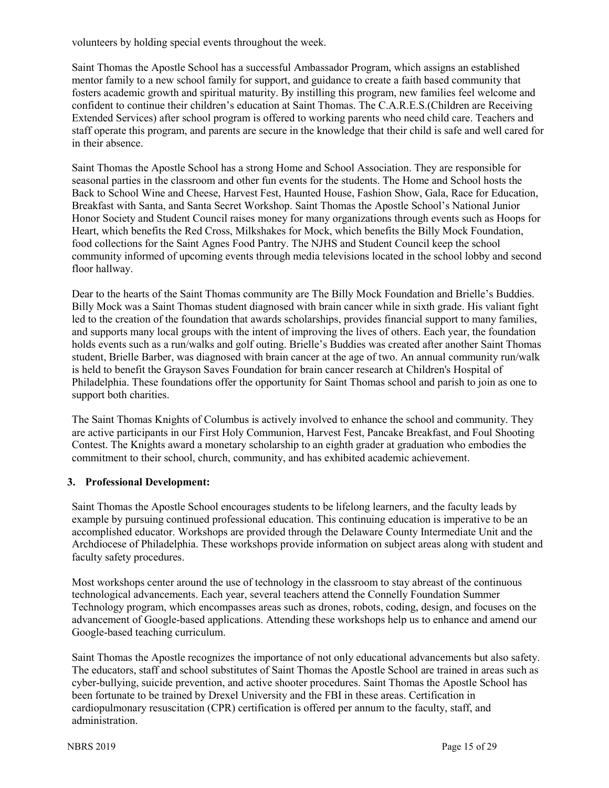volunteers by holding special events throughout the week.

Saint Thomas the Apostle School has a successful Ambassador Program, which assigns an established mentor family to a new school family for support, and guidance to create a faith based community that fosters academic growth and spiritual maturity. By instilling this program, new families feel welcome and confident to continue their children's education at Saint Thomas. The C.A.R.E.S.(Children are Receiving Extended Services) after school program is offered to working parents who need child care. Teachers and staff operate this program, and parents are secure in the knowledge that their child is safe and well cared for in their absence.

Saint Thomas the Apostle School has a strong Home and School Association. They are responsible for seasonal parties in the classroom and other fun events for the students. The Home and School hosts the Back to School Wine and Cheese, Harvest Fest, Haunted House, Fashion Show, Gala, Race for Education, Breakfast with Santa, and Santa Secret Workshop. Saint Thomas the Apostle School's National Junior Honor Society and Student Council raises money for many organizations through events such as Hoops for Heart, which benefits the Red Cross, Milkshakes for Mock, which benefits the Billy Mock Foundation, food collections for the Saint Agnes Food Pantry. The NJHS and Student Council keep the school community informed of upcoming events through media televisions located in the school lobby and second floor hallway.

Dear to the hearts of the Saint Thomas community are The Billy Mock Foundation and Brielle's Buddies. Billy Mock was a Saint Thomas student diagnosed with brain cancer while in sixth grade. His valiant fight led to the creation of the foundation that awards scholarships, provides financial support to many families, and supports many local groups with the intent of improving the lives of others. Each year, the foundation holds events such as a run/walks and golf outing. Brielle's Buddies was created after another Saint Thomas student, Brielle Barber, was diagnosed with brain cancer at the age of two. An annual community run/walk is held to benefit the Grayson Saves Foundation for brain cancer research at Children's Hospital of Philadelphia. These foundations offer the opportunity for Saint Thomas school and parish to join as one to support both charities.

The Saint Thomas Knights of Columbus is actively involved to enhance the school and community. They are active participants in our First Holy Communion, Harvest Fest, Pancake Breakfast, and Foul Shooting Contest. The Knights award a monetary scholarship to an eighth grader at graduation who embodies the commitment to their school, church, community, and has exhibited academic achievement.

#### **3. Professional Development:**

Saint Thomas the Apostle School encourages students to be lifelong learners, and the faculty leads by example by pursuing continued professional education. This continuing education is imperative to be an accomplished educator. Workshops are provided through the Delaware County Intermediate Unit and the Archdiocese of Philadelphia. These workshops provide information on subject areas along with student and faculty safety procedures.

Most workshops center around the use of technology in the classroom to stay abreast of the continuous technological advancements. Each year, several teachers attend the Connelly Foundation Summer Technology program, which encompasses areas such as drones, robots, coding, design, and focuses on the advancement of Google-based applications. Attending these workshops help us to enhance and amend our Google-based teaching curriculum.

Saint Thomas the Apostle recognizes the importance of not only educational advancements but also safety. The educators, staff and school substitutes of Saint Thomas the Apostle School are trained in areas such as cyber-bullying, suicide prevention, and active shooter procedures. Saint Thomas the Apostle School has been fortunate to be trained by Drexel University and the FBI in these areas. Certification in cardiopulmonary resuscitation (CPR) certification is offered per annum to the faculty, staff, and administration.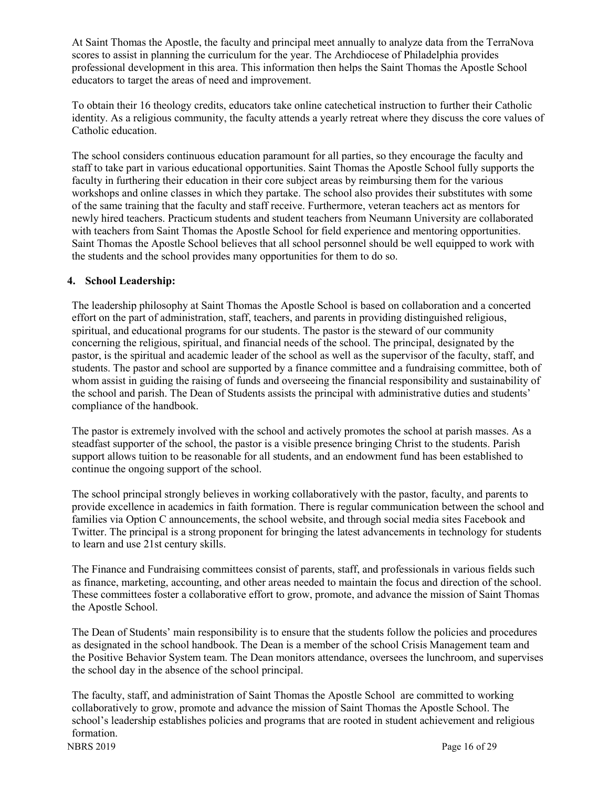At Saint Thomas the Apostle, the faculty and principal meet annually to analyze data from the TerraNova scores to assist in planning the curriculum for the year. The Archdiocese of Philadelphia provides professional development in this area. This information then helps the Saint Thomas the Apostle School educators to target the areas of need and improvement.

To obtain their 16 theology credits, educators take online catechetical instruction to further their Catholic identity. As a religious community, the faculty attends a yearly retreat where they discuss the core values of Catholic education.

The school considers continuous education paramount for all parties, so they encourage the faculty and staff to take part in various educational opportunities. Saint Thomas the Apostle School fully supports the faculty in furthering their education in their core subject areas by reimbursing them for the various workshops and online classes in which they partake. The school also provides their substitutes with some of the same training that the faculty and staff receive. Furthermore, veteran teachers act as mentors for newly hired teachers. Practicum students and student teachers from Neumann University are collaborated with teachers from Saint Thomas the Apostle School for field experience and mentoring opportunities. Saint Thomas the Apostle School believes that all school personnel should be well equipped to work with the students and the school provides many opportunities for them to do so.

#### **4. School Leadership:**

The leadership philosophy at Saint Thomas the Apostle School is based on collaboration and a concerted effort on the part of administration, staff, teachers, and parents in providing distinguished religious, spiritual, and educational programs for our students. The pastor is the steward of our community concerning the religious, spiritual, and financial needs of the school. The principal, designated by the pastor, is the spiritual and academic leader of the school as well as the supervisor of the faculty, staff, and students. The pastor and school are supported by a finance committee and a fundraising committee, both of whom assist in guiding the raising of funds and overseeing the financial responsibility and sustainability of the school and parish. The Dean of Students assists the principal with administrative duties and students' compliance of the handbook.

The pastor is extremely involved with the school and actively promotes the school at parish masses. As a steadfast supporter of the school, the pastor is a visible presence bringing Christ to the students. Parish support allows tuition to be reasonable for all students, and an endowment fund has been established to continue the ongoing support of the school.

The school principal strongly believes in working collaboratively with the pastor, faculty, and parents to provide excellence in academics in faith formation. There is regular communication between the school and families via Option C announcements, the school website, and through social media sites Facebook and Twitter. The principal is a strong proponent for bringing the latest advancements in technology for students to learn and use 21st century skills.

The Finance and Fundraising committees consist of parents, staff, and professionals in various fields such as finance, marketing, accounting, and other areas needed to maintain the focus and direction of the school. These committees foster a collaborative effort to grow, promote, and advance the mission of Saint Thomas the Apostle School.

The Dean of Students' main responsibility is to ensure that the students follow the policies and procedures as designated in the school handbook. The Dean is a member of the school Crisis Management team and the Positive Behavior System team. The Dean monitors attendance, oversees the lunchroom, and supervises the school day in the absence of the school principal.

NBRS 2019 Page 16 of 29 The faculty, staff, and administration of Saint Thomas the Apostle School are committed to working collaboratively to grow, promote and advance the mission of Saint Thomas the Apostle School. The school's leadership establishes policies and programs that are rooted in student achievement and religious formation.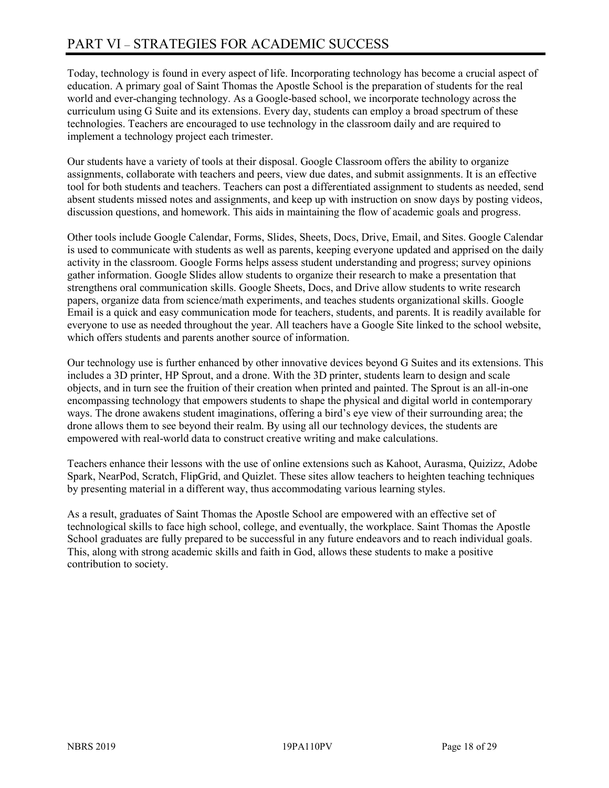# PART VI – STRATEGIES FOR ACADEMIC SUCCESS

Today, technology is found in every aspect of life. Incorporating technology has become a crucial aspect of education. A primary goal of Saint Thomas the Apostle School is the preparation of students for the real world and ever-changing technology. As a Google-based school, we incorporate technology across the curriculum using G Suite and its extensions. Every day, students can employ a broad spectrum of these technologies. Teachers are encouraged to use technology in the classroom daily and are required to implement a technology project each trimester.

Our students have a variety of tools at their disposal. Google Classroom offers the ability to organize assignments, collaborate with teachers and peers, view due dates, and submit assignments. It is an effective tool for both students and teachers. Teachers can post a differentiated assignment to students as needed, send absent students missed notes and assignments, and keep up with instruction on snow days by posting videos, discussion questions, and homework. This aids in maintaining the flow of academic goals and progress.

Other tools include Google Calendar, Forms, Slides, Sheets, Docs, Drive, Email, and Sites. Google Calendar is used to communicate with students as well as parents, keeping everyone updated and apprised on the daily activity in the classroom. Google Forms helps assess student understanding and progress; survey opinions gather information. Google Slides allow students to organize their research to make a presentation that strengthens oral communication skills. Google Sheets, Docs, and Drive allow students to write research papers, organize data from science/math experiments, and teaches students organizational skills. Google Email is a quick and easy communication mode for teachers, students, and parents. It is readily available for everyone to use as needed throughout the year. All teachers have a Google Site linked to the school website, which offers students and parents another source of information.

Our technology use is further enhanced by other innovative devices beyond G Suites and its extensions. This includes a 3D printer, HP Sprout, and a drone. With the 3D printer, students learn to design and scale objects, and in turn see the fruition of their creation when printed and painted. The Sprout is an all-in-one encompassing technology that empowers students to shape the physical and digital world in contemporary ways. The drone awakens student imaginations, offering a bird's eye view of their surrounding area; the drone allows them to see beyond their realm. By using all our technology devices, the students are empowered with real-world data to construct creative writing and make calculations.

Teachers enhance their lessons with the use of online extensions such as Kahoot, Aurasma, Quizizz, Adobe Spark, NearPod, Scratch, FlipGrid, and Quizlet. These sites allow teachers to heighten teaching techniques by presenting material in a different way, thus accommodating various learning styles.

As a result, graduates of Saint Thomas the Apostle School are empowered with an effective set of technological skills to face high school, college, and eventually, the workplace. Saint Thomas the Apostle School graduates are fully prepared to be successful in any future endeavors and to reach individual goals. This, along with strong academic skills and faith in God, allows these students to make a positive contribution to society.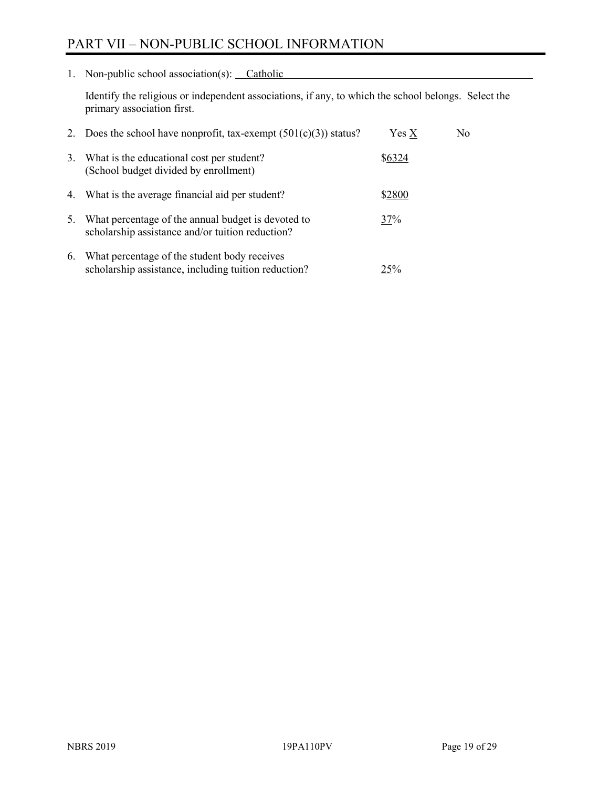# PART VII – NON-PUBLIC SCHOOL INFORMATION

1. Non-public school association(s): Catholic

Identify the religious or independent associations, if any, to which the school belongs. Select the primary association first.

|    | 2. Does the school have nonprofit, tax-exempt $(501(c)(3))$ status?                                    | Yes X  | No. |
|----|--------------------------------------------------------------------------------------------------------|--------|-----|
| 3. | What is the educational cost per student?<br>(School budget divided by enrollment)                     | \$6324 |     |
|    | 4. What is the average financial aid per student?                                                      | \$2800 |     |
| 5. | What percentage of the annual budget is devoted to<br>scholarship assistance and/or tuition reduction? | 37%    |     |
| 6. | What percentage of the student body receives<br>scholarship assistance, including tuition reduction?   | 25%    |     |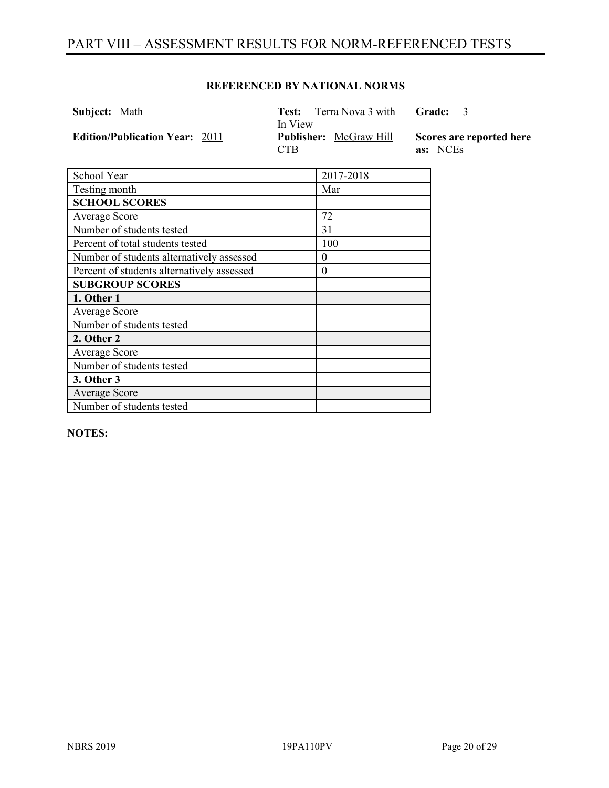# PART VIII – ASSESSMENT RESULTS FOR NORM-REFERENCED TESTS

#### **REFERENCED BY NATIONAL NORMS**

| <b>Subject:</b> Math                  | <b>Test:</b> Terra Nova 3 with<br>In View   | Grade: 3                             |
|---------------------------------------|---------------------------------------------|--------------------------------------|
| <b>Edition/Publication Year: 2011</b> | <b>Publisher:</b> McGraw Hill<br><b>CTB</b> | Scores are reported here<br>as: NCEs |

| School Year                                | 2017-2018 |
|--------------------------------------------|-----------|
| Testing month                              | Mar       |
| <b>SCHOOL SCORES</b>                       |           |
| Average Score                              | 72        |
| Number of students tested                  | 31        |
| Percent of total students tested           | 100       |
| Number of students alternatively assessed  | $\theta$  |
| Percent of students alternatively assessed | $\theta$  |
| <b>SUBGROUP SCORES</b>                     |           |
| 1. Other 1                                 |           |
| Average Score                              |           |
| Number of students tested                  |           |
| 2. Other 2                                 |           |
| Average Score                              |           |
| Number of students tested                  |           |
| 3. Other 3                                 |           |
| Average Score                              |           |
| Number of students tested                  |           |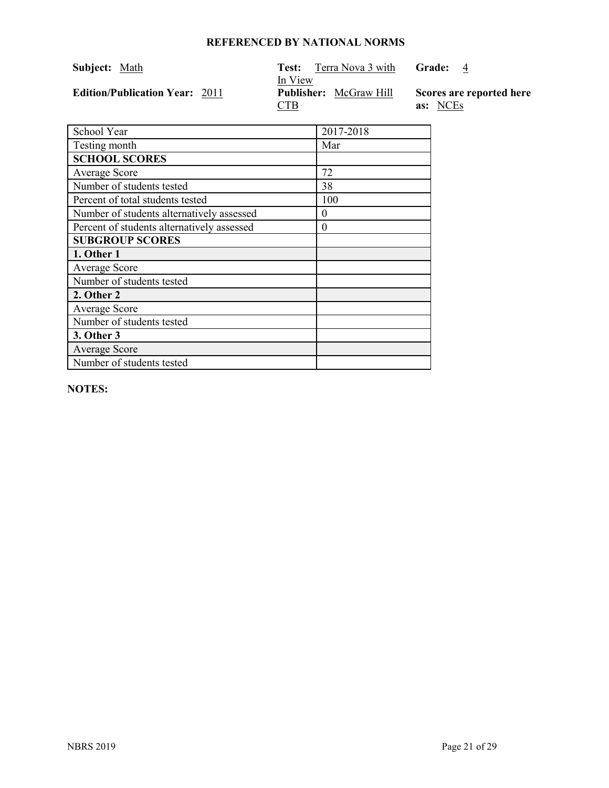| <b>Subject:</b> Math                  | Terra Nova 3 with<br>Test:    | Grade: 4                 |
|---------------------------------------|-------------------------------|--------------------------|
|                                       | In View                       |                          |
| <b>Edition/Publication Year: 2011</b> | <b>Publisher:</b> McGraw Hill | Scores are reported here |
|                                       | CTB                           | as: NCEs                 |

| School Year                                | 2017-2018 |
|--------------------------------------------|-----------|
| Testing month                              | Mar       |
| <b>SCHOOL SCORES</b>                       |           |
| <b>Average Score</b>                       | 72        |
| Number of students tested                  | 38        |
| Percent of total students tested           | 100       |
| Number of students alternatively assessed  | $\theta$  |
| Percent of students alternatively assessed | $\theta$  |
| <b>SUBGROUP SCORES</b>                     |           |
| 1. Other 1                                 |           |
| <b>Average Score</b>                       |           |
| Number of students tested                  |           |
| 2. Other 2                                 |           |
| <b>Average Score</b>                       |           |
| Number of students tested                  |           |
| 3. Other 3                                 |           |
| <b>Average Score</b>                       |           |
| Number of students tested                  |           |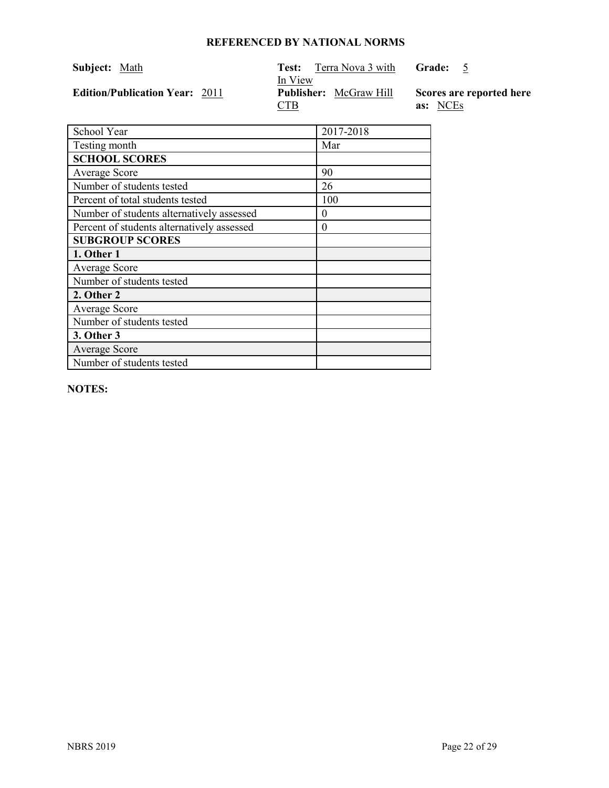| Subject: Math |                                       | Test:                 | Terra Nova 3 with             | Grade:                               |
|---------------|---------------------------------------|-----------------------|-------------------------------|--------------------------------------|
|               | <b>Edition/Publication Year: 2011</b> | In View<br><u>CTB</u> | <b>Publisher:</b> McGraw Hill | Scores are reported here<br>as: NCEs |

| School Year                                | 2017-2018 |
|--------------------------------------------|-----------|
| Testing month                              | Mar       |
| <b>SCHOOL SCORES</b>                       |           |
| <b>Average Score</b>                       | 90        |
| Number of students tested                  | 26        |
| Percent of total students tested           | 100       |
| Number of students alternatively assessed  | 0         |
| Percent of students alternatively assessed | 0         |
| <b>SUBGROUP SCORES</b>                     |           |
| 1. Other 1                                 |           |
| <b>Average Score</b>                       |           |
| Number of students tested                  |           |
| 2. Other 2                                 |           |
| <b>Average Score</b>                       |           |
| Number of students tested                  |           |
| 3. Other 3                                 |           |
| <b>Average Score</b>                       |           |
| Number of students tested                  |           |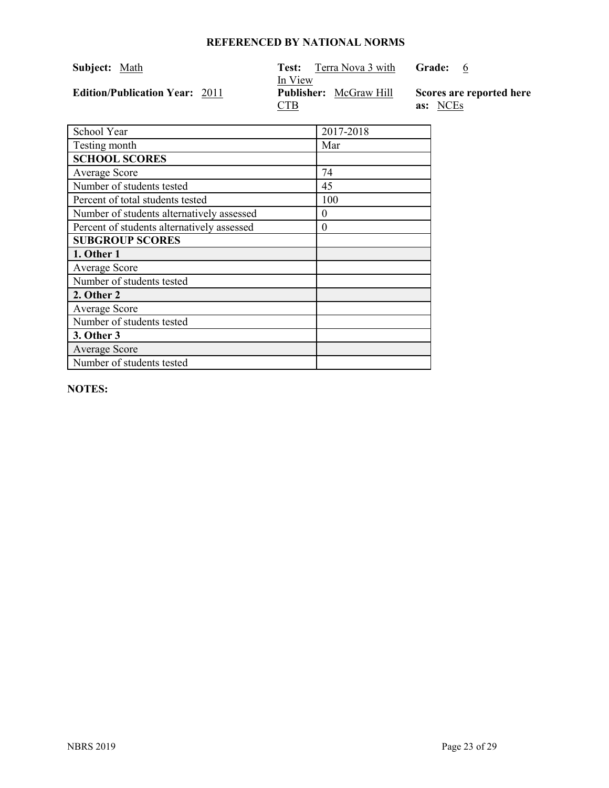| <b>Subject:</b> Math                  | Terra Nova 3 with<br>Test:    | Grade:<br>$6^{\circ}$    |
|---------------------------------------|-------------------------------|--------------------------|
|                                       | In View                       |                          |
| <b>Edition/Publication Year: 2011</b> | <b>Publisher:</b> McGraw Hill | Scores are reported here |
|                                       | CTB                           | as: NCEs                 |

| School Year                                | 2017-2018 |
|--------------------------------------------|-----------|
| Testing month                              | Mar       |
| <b>SCHOOL SCORES</b>                       |           |
| <b>Average Score</b>                       | 74        |
| Number of students tested                  | 45        |
| Percent of total students tested           | 100       |
| Number of students alternatively assessed  | 0         |
| Percent of students alternatively assessed | 0         |
| <b>SUBGROUP SCORES</b>                     |           |
| 1. Other 1                                 |           |
| <b>Average Score</b>                       |           |
| Number of students tested                  |           |
| 2. Other 2                                 |           |
| Average Score                              |           |
| Number of students tested                  |           |
| 3. Other 3                                 |           |
| <b>Average Score</b>                       |           |
| Number of students tested                  |           |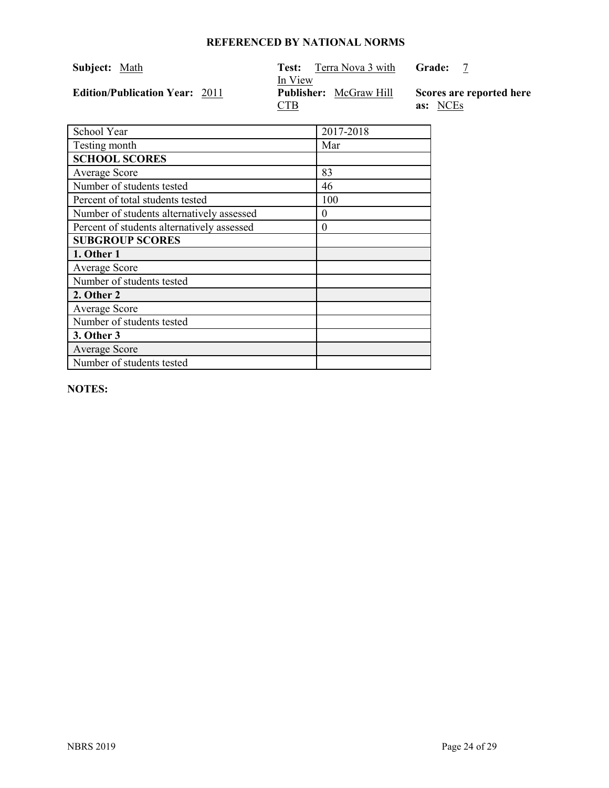| <b>Subject:</b> Math                  | Terra Nova 3 with<br>Test: -  | Grade:                   |
|---------------------------------------|-------------------------------|--------------------------|
|                                       | In View                       |                          |
| <b>Edition/Publication Year: 2011</b> | <b>Publisher:</b> McGraw Hill | Scores are reported here |
|                                       | CTB                           | as: NCEs                 |

| School Year                                | 2017-2018 |
|--------------------------------------------|-----------|
| Testing month                              | Mar       |
| <b>SCHOOL SCORES</b>                       |           |
| <b>Average Score</b>                       | 83        |
| Number of students tested                  | 46        |
| Percent of total students tested           | 100       |
| Number of students alternatively assessed  | $\theta$  |
| Percent of students alternatively assessed | $\theta$  |
| <b>SUBGROUP SCORES</b>                     |           |
| 1. Other 1                                 |           |
| <b>Average Score</b>                       |           |
| Number of students tested                  |           |
| 2. Other 2                                 |           |
| <b>Average Score</b>                       |           |
| Number of students tested                  |           |
| 3. Other 3                                 |           |
| <b>Average Score</b>                       |           |
| Number of students tested                  |           |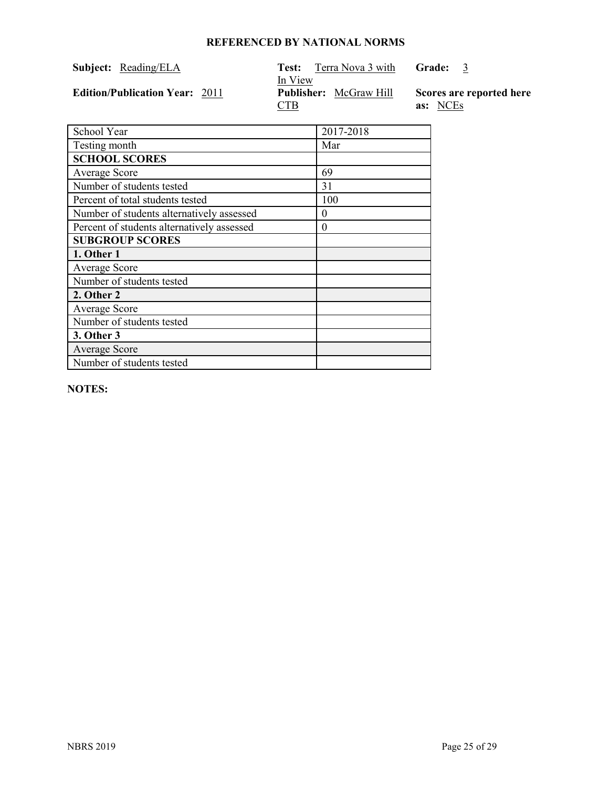| <b>Subject:</b> Reading/ELA           | Terra Nova 3 with<br>Test:<br>In View       | Grade: 3                             |
|---------------------------------------|---------------------------------------------|--------------------------------------|
| <b>Edition/Publication Year: 2011</b> | <b>Publisher:</b> McGraw Hill<br><u>CTB</u> | Scores are reported here<br>as: NCEs |

| School Year                                | 2017-2018 |
|--------------------------------------------|-----------|
| Testing month                              | Mar       |
| <b>SCHOOL SCORES</b>                       |           |
| Average Score                              | 69        |
| Number of students tested                  | 31        |
| Percent of total students tested           | 100       |
| Number of students alternatively assessed  | $\theta$  |
| Percent of students alternatively assessed | $\theta$  |
| <b>SUBGROUP SCORES</b>                     |           |
| 1. Other 1                                 |           |
| <b>Average Score</b>                       |           |
| Number of students tested                  |           |
| 2. Other 2                                 |           |
| Average Score                              |           |
| Number of students tested                  |           |
| 3. Other 3                                 |           |
| <b>Average Score</b>                       |           |
| Number of students tested                  |           |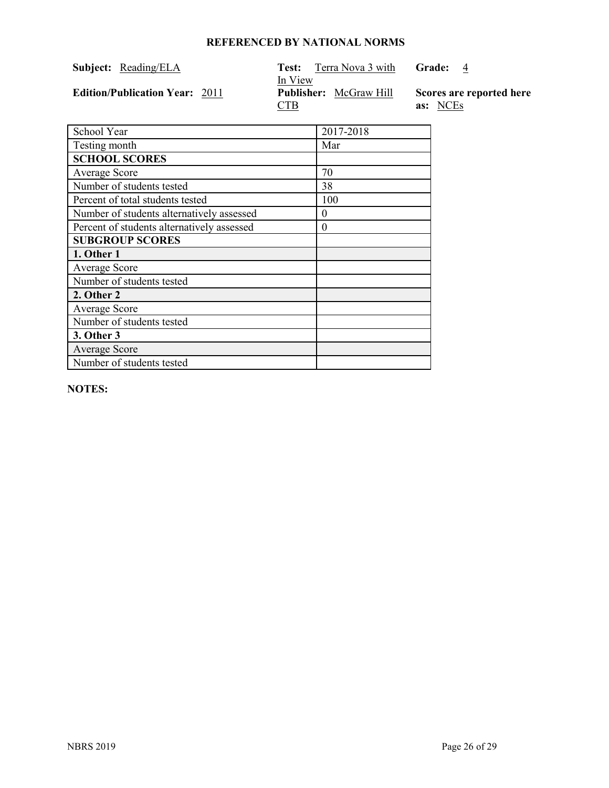| <b>Subject:</b> Reading/ELA           | Terra Nova 3 with<br>Test:<br>In View       | Grade: 4                             |
|---------------------------------------|---------------------------------------------|--------------------------------------|
| <b>Edition/Publication Year: 2011</b> | <b>Publisher:</b> McGraw Hill<br><u>CTB</u> | Scores are reported here<br>as: NCEs |

| School Year                                | 2017-2018 |
|--------------------------------------------|-----------|
| Testing month                              | Mar       |
| <b>SCHOOL SCORES</b>                       |           |
| Average Score                              | 70        |
| Number of students tested                  | 38        |
| Percent of total students tested           | 100       |
| Number of students alternatively assessed  | $\theta$  |
| Percent of students alternatively assessed | $\theta$  |
| <b>SUBGROUP SCORES</b>                     |           |
| 1. Other 1                                 |           |
| <b>Average Score</b>                       |           |
| Number of students tested                  |           |
| 2. Other 2                                 |           |
| Average Score                              |           |
| Number of students tested                  |           |
| 3. Other 3                                 |           |
| <b>Average Score</b>                       |           |
| Number of students tested                  |           |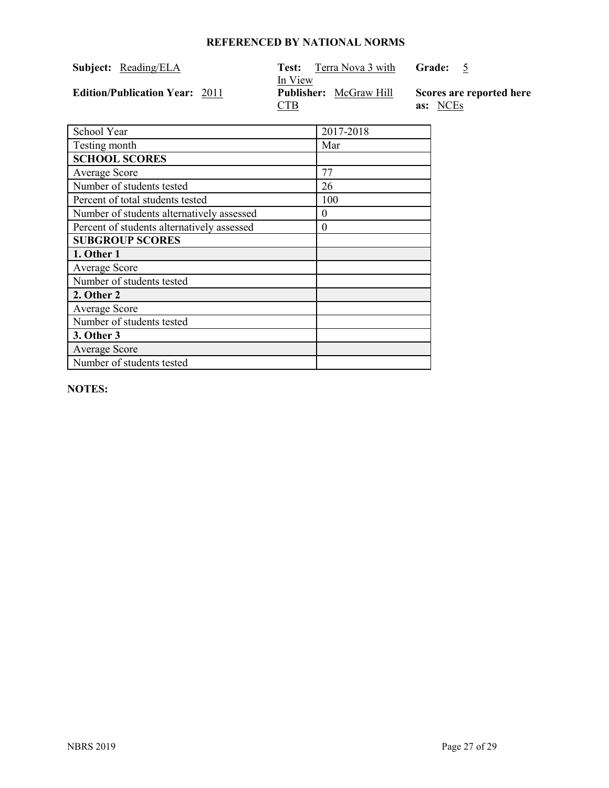| Subject: Reading/ELA                  | Terra Nova 3 with<br>Test:<br>In View       | Grade: 5                             |
|---------------------------------------|---------------------------------------------|--------------------------------------|
| <b>Edition/Publication Year: 2011</b> | <b>Publisher:</b> McGraw Hill<br><u>CTB</u> | Scores are reported here<br>as: NCEs |

| School Year                                | 2017-2018 |
|--------------------------------------------|-----------|
| Testing month                              | Mar       |
| <b>SCHOOL SCORES</b>                       |           |
| Average Score                              | 77        |
| Number of students tested                  | 26        |
| Percent of total students tested           | 100       |
| Number of students alternatively assessed  | 0         |
| Percent of students alternatively assessed | 0         |
| <b>SUBGROUP SCORES</b>                     |           |
| 1. Other 1                                 |           |
| <b>Average Score</b>                       |           |
| Number of students tested                  |           |
| 2. Other 2                                 |           |
| <b>Average Score</b>                       |           |
| Number of students tested                  |           |
| 3. Other 3                                 |           |
| <b>Average Score</b>                       |           |
| Number of students tested                  |           |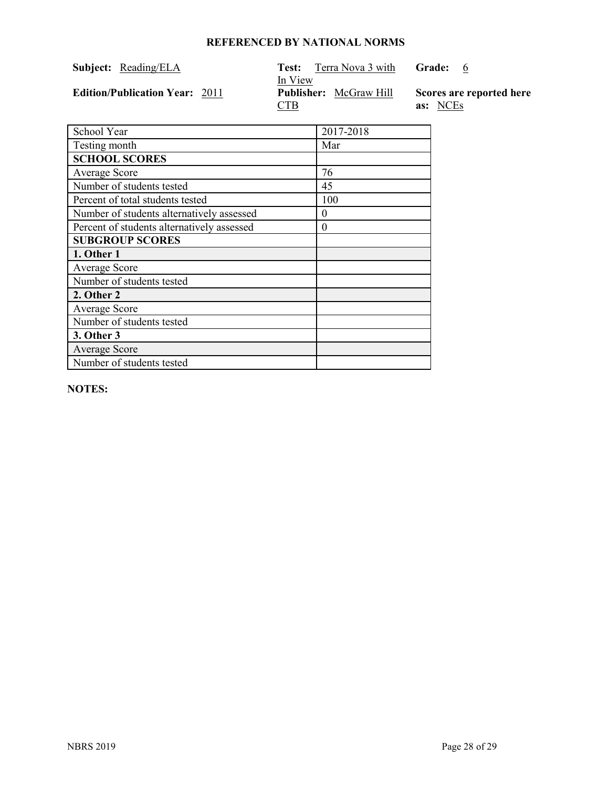| <b>Subject:</b> Reading/ELA           | Terra Nova 3 with<br>Test:<br>In View       | Grade:<br>$6^{\circ}$                |
|---------------------------------------|---------------------------------------------|--------------------------------------|
| <b>Edition/Publication Year: 2011</b> | <b>Publisher:</b> McGraw Hill<br><u>CTB</u> | Scores are reported here<br>as: NCEs |

| School Year                                | 2017-2018 |
|--------------------------------------------|-----------|
| Testing month                              | Mar       |
| <b>SCHOOL SCORES</b>                       |           |
| <b>Average Score</b>                       | 76        |
| Number of students tested                  | 45        |
| Percent of total students tested           | 100       |
| Number of students alternatively assessed  | 0         |
| Percent of students alternatively assessed | 0         |
| <b>SUBGROUP SCORES</b>                     |           |
| 1. Other 1                                 |           |
| <b>Average Score</b>                       |           |
| Number of students tested                  |           |
| 2. Other 2                                 |           |
| Average Score                              |           |
| Number of students tested                  |           |
| 3. Other 3                                 |           |
| <b>Average Score</b>                       |           |
| Number of students tested                  |           |